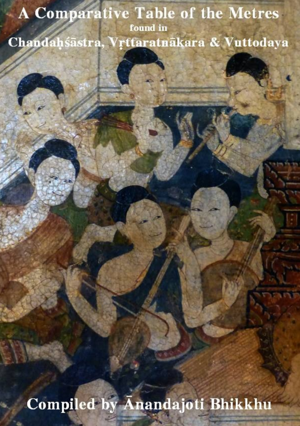# A Comparative Table of the Metres found in Chandahśāstra, Vrttaratnākara & Vuttodaya

Compiled by Anandajoti Bhikkhu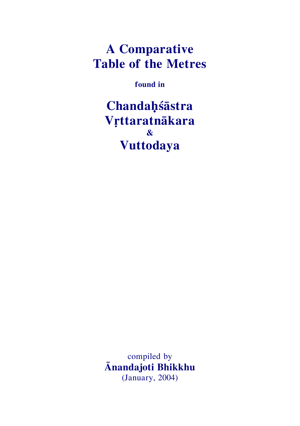# **A Comparative Table of the Metres**

**found in**

**Chandaḥśāstra Vṛttaratnākara & Vuttodaya**

compiled by **Ānandajoti Bhikkhu** (January, 2004)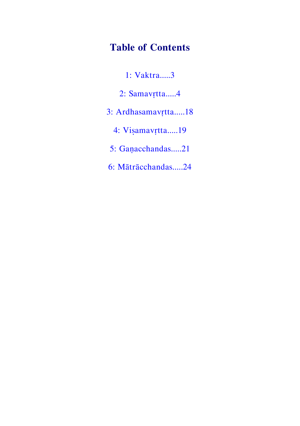# **Table of Contents**

- [1: Vaktra.....3](#page-4-0)
- [2: Samavṛtt](#page-6-0)a.....4
- [3: Ardhasamavṛtta.....18](#page-19-0)
	- [4: Viṣamavṛtta.....19](#page-21-0)
	- [5: Gaṇacchandas.....21](#page-24-0)
- [6: Mātrācchandas.....24](#page-27-0)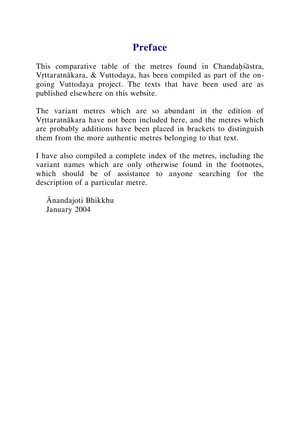### **Preface**

This comparative table of the metres found in Chandahśāstra, Vrttaratnākara, & Vuttodaya, has been compiled as part of the ongoing Vuttodaya project. The texts that have been used are as published elsewhere on this website.

The variant metres which are so abundant in the edition of Vṛttaratnākara have not been included here, and the metres which are probably additions have been placed in brackets to distinguish them from the more authentic metres belonging to that text.

I have also compiled a complete index of the metres, including the variant names which are only otherwise found in the footnotes, which should be of assistance to anyone searching for the description of a particular metre.

Ānandajoti Bhikkhu January 2004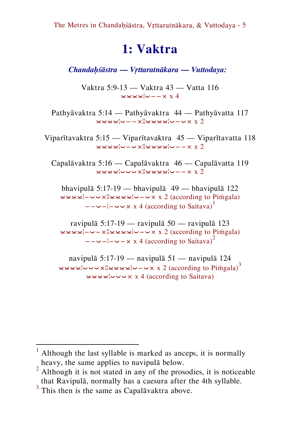# <span id="page-4-0"></span>**1: Vaktra**

*Chandaḥśāstra — Vṛttaratnākara — Vuttodaya:* 

Vaktra 5:9-13 — Vaktra 43 — Vatta 116 ⏓⏓⏓⏓¦⏑−−× x 4

Pathyāvaktra 5:14 — Pathyāvaktra 44 — Pathyāvatta 117 ⏓⏓⏓⏓¦⏑−−צ¦⏓⏓⏓⏓¦⏑−⏑× x 2

Viparītavaktra 5:15 — Viparītavaktra 45 — Viparītavatta 118 ⏓⏓⏓⏓¦⏑−⏑צ¦⏓⏓⏓⏓¦⏑−−× x 2

Capalāvaktra 5:16 — Capalāvaktra 46 — Capalāvatta 119 ⏓⏓⏓⏓¦⏑⏑⏑צ¦⏓⏓⏓⏓¦⏑−−× x 2

bhavipulā 5:17-19 — bhavipulā 49 — bhavipulā 122 ⏓⏓⏓⏓¦−⏑⏑צ¦⏓⏓⏓⏓¦⏑−⏑× x 2 (according to Piṁgala)  $-\leftarrow -\leftarrow -\times x$  4 (according to Saitava)<sup>1</sup>

ravipulā 5:17-19 — ravipulā 50 — ravipulā 123 ⏓⏓⏓⏓¦−⏑−צ¦⏓⏓⏓⏓¦⏑−⏑× x 2 (according to Piṁgala)  $-\leftarrow -\leftarrow -\times x$  4 (according to Saitava)<sup>2</sup>

navipulā 5:17-19 — navipulā 51 — navipulā 124 ⏓⏓⏓⏓¦⏑⏑⏑צ¦⏓⏓⏓⏓¦⏑−⏑× x 2 (according to Piṁgala)<sup>3</sup> ⏓⏓⏓⏓¦⏑⏑⏑× x 4 (according to Saitava)

-

 $<sup>1</sup>$  Although the last syllable is marked as anceps, it is normally</sup> heavy, the same applies to navipulā below.

 $2$  Although it is not stated in any of the prosodies, it is noticeable that Ravipulā, normally has a caesura after the 4th syllable.

<sup>&</sup>lt;sup>3</sup> This then is the same as Capalāvaktra above.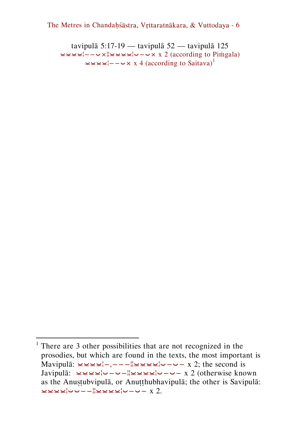tavipulā 5:17-19 — tavipulā 52 — tavipulā 125 ⏓⏓⏓⏓¦−−⏑צ¦⏓⏓⏓⏓¦⏑−⏑× x 2 (according to Piṁgala) ⏓⏓⏓⏓¦−−⏑× x 4 (according to Saitava)<sup>1</sup>

 $1$  There are 3 other possibilities that are not recognized in the prosodies, but which are found in the texts, the most important is Mavipulā:  $\leq \leq \leq -,-,-$ || $\leq \leq \leq$ | $\sim$  - $\sim$  x 2; the second is Javipulā: ⏓⏓⏓⏓¦⏑−⏑−¦¦⏓⏓⏓⏓¦⏑−⏑− x 2 (otherwise known as the Anuṣṭubvipulā, or Anuṭṭhubhavipulā; the other is Savipulā: ⏓⏓⏓⏓¦⏑⏑−−¦¦⏓⏓⏓⏓¦⏑−⏑− x 2.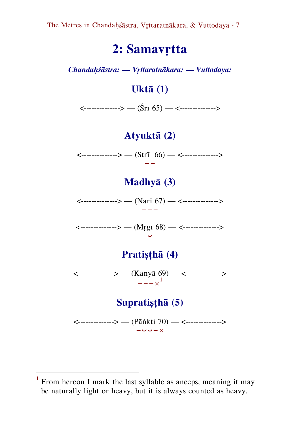# **2: Samavṛtta**

*Chandaḥśāstra: — Vṛttaratnākara: — Vuttodaya:*

## <span id="page-6-0"></span>**Uktā (1)**

<--------------> — (Śrī 65) — <--------------> −

## **Atyuktā (2)**

<--------------> — (Strī 66) — <--------------> −−

# **Madhyā (3)**

<--------------> — (Narī 67) — <--------------> −−−

<--------------> — (Mṛgī 68) — <--------------> −⏑−

# **Pratiṣṭhā (4)**

<--------------> — (Kanyā 69) — <-------------->  $--- \times \nightharpoonup^1$ 

# **Supratiṣṭhā (5)**

<--------------> — (Pāṅkti 70) — <--------------> −⏑⏑−×

<sup>&</sup>lt;sup>1</sup> From hereon I mark the last syllable as anceps, meaning it may be naturally light or heavy, but it is always counted as heavy.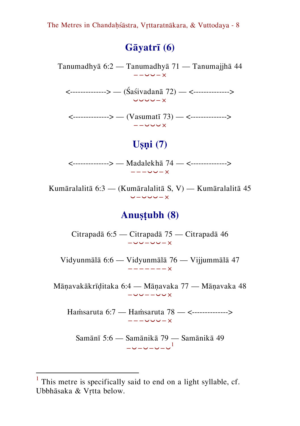# **Gāyatrī (6)**

Tanumadhyā 6:2 — Tanumadhyā 71 — Tanumajjhā 44 −−⏑⏑−×

<--------------> — (Śaśivadanā 72) — <--------------> ⏑⏑⏑⏑−×

<--------------> — (Vasumatī 73) — <--------------> −−⏑⏑⏑×

### **Uṣṇi (7)**

<--------------> — Madalekhā 74 — <--------------> −−−⏑⏑−×

Kumāralalitā 6:3 — (Kumāralalitā S, V) — Kumāralalitā 45 ⏑−⏑⏑⏑−×

#### **Anuṣṭubh (8)**

Citrapadā 6:5 — Citrapadā 75 — Citrapadā 46 −⏑⏑−⏑⏑−×

Vidyunmālā 6:6 — Vidyunmālā 76 — Vijjummālā 47 −−−−−−−×

Māṇavakākrīḍitaka 6:4 — Māṇavaka 77 — Māṇavaka 48 −⏑⏑−−⏑⏑×

Haṁsaruta 6:7 — Haṁsaruta 78 — <--------------> −−−⏑⏑⏑−×

Samānī 5:6 — Samānikā 79 — Samānikā 49 −⏑−⏑−⏑−⏑ 1

<sup>&</sup>lt;sup>1</sup> This metre is specifically said to end on a light syllable, cf. Ubbhāsaka & Vṛtta below.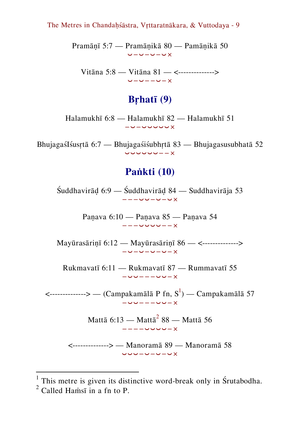Pramāṇī 5:7 — Pramāṇikā 80 — Pamāṇikā 50 ⏑−⏑−⏑−⏑×

Vitāna 5:8 — Vitāna 81 — <--------------> ⏑−⏑−−⏑−×

#### **Bṛhatī (9)**

Halamukhī 6:8 — Halamukhī 82 — Halamukhī 51 −⏑−⏑⏑⏑⏑⏑×

BhujagaśIśusṛtā 6:7 — Bhujagaśiśubhṛtā 83 — Bhujagasusubhatā 52 ⏑⏑⏑⏑⏑⏑−−×

#### **Paṅkti (10)**

Śuddhavirāḍ 6:9 — Śuddhavirāḍ 84 — Suddhavirāja 53 −−−⏑⏑−⏑−⏑×

> Paṇava 6:10 — Paṇava 85 — Paṇava 54 −−−⏑⏑⏑⏑−−×

Mayūrasāriṇī 6:12 — Mayūrasāriṇī 86 — <--------------> −⏑−⏑−⏑−⏑−×

Rukmavatī 6:11 — Rukmavatī 87 — Rummavatī 55 −⏑⏑−−−⏑⏑−×

 $\leftarrow$ -------------> — (Campakamālā P fn, S $^{\rm l}$ ) — Campakamālā 57 −⏑⏑−−−⏑⏑−×

> Mattā 6:13 — Mattā $^2$  88 — Mattā 56 −−−−⏑⏑⏑⏑−×

<--------------> — Manoramā 89 — Manoramā 58 ⏑⏑⏑−⏑−⏑−⏑×

 $<sup>1</sup>$  This metre is given its distinctive word-break only in Śrutabodha.</sup>  $<sup>2</sup>$  Called Hamsi in a fn to P.</sup>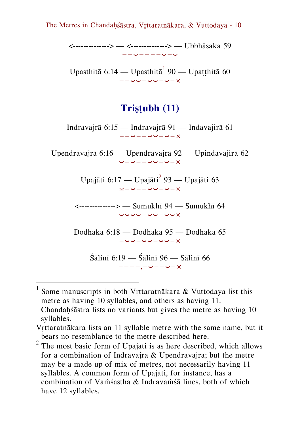<--------------> — <--------------> — Ubbhāsaka 59 −−⏑−−−−⏑−⏑

Upasthitā 6:14 — Upasthitā  $90$  — Upaṭṭhitā 60 −−⏑⏑−⏑⏑−⏑−×

#### **Triṣṭubh (11)**

Indravajrā 6:15 — Indravajrā 91 — Indavajirā 61 −−⏑−−⏑⏑−⏑−×

Upendravajrā 6:16 — Upendravajrā 92 — Upindavajirā 62 ⏑−⏑−−⏑⏑−⏑−×

> Upajāti 6:17 — Upajāti<sup>2</sup> 93 — Upajāti 63 ⏓−⏑−−⏑⏑−⏑−×

<--------------> — Sumukhī 94 — Sumukhī 64 ⏑⏑⏑⏑−⏑⏑−⏑⏑×

Dodhaka 6:18 — Dodhaka 95 — Dodhaka 65 −⏑⏑−⏑⏑−⏑⏑−×

> $\sin$ ī 6:19 —  $\sin$ 5 96 — Sālinī 66 −−−−,−⏑−−⏑−×

-

<sup>&</sup>lt;sup>1</sup> Some manuscripts in both Vṛttaratnākara & Vuttodaya list this metre as having 10 syllables, and others as having 11. Chandahśāstra lists no variants but gives the metre as having 10

syllables.

Vrttaratnākara lists an 11 syllable metre with the same name, but it bears no resemblance to the metre described here.

 $2$  The most basic form of Upajāti is as here described, which allows for a combination of Indravajrā & Upendravajrā; but the metre may be a made up of mix of metres, not necessarily having 11 syllables. A common form of Upajāti, for instance, has a combination of Vaṁśastha & Indravaṁśā lines, both of which have 12 syllables.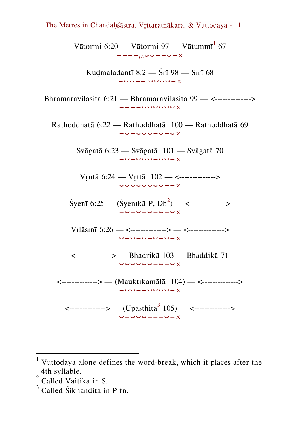Vātormi 6:20 — Vātormi 97 — Vātummī $^{\rm 1}$  67 −−−−( ,)⏑⏑−−⏑−×

Kuḍmaladantī 8:2 — Śrī 98 — Sirī 68 −⏑⏑−−,⏑⏑⏑⏑−×

Bhramaravilasita 6:21 — Bhramaravilasita 99 — <--------------> −−−−⏑⏑⏑⏑⏑⏑×

Rathoddhatā 6:22 — Rathoddhatā 100 — Rathoddhatā 69 −⏑−⏑⏑⏑−⏑−⏑×

> Svāgatā 6:23 — Svāgatā 101 — Svāgatā 70 −⏑−⏑⏑⏑−⏑⏑−×

Vṛntā 6:24 — Vṛttā 102 — <--------------> ⏑⏑⏑⏑⏑⏑⏑⏑−−×

 $\text{Šyen}$ ī 6:25 — ( $\text{Šyenikā P, Dh}^2$ ) — <--------------> −⏑−⏑−⏑−⏑−⏑×

Vilāsinī 6:26 — <--------------> — <--------------> ⏑−⏑−⏑−⏑−⏑−×

<--------------> — Bhadrikā 103 — Bhaddikā 71 ⏑⏑⏑⏑⏑⏑−⏑−⏑×

<--------------> — (Mauktikamālā 104) — <--------------> −⏑⏑−−⏑⏑⏑⏑−×

 $\leftarrow$  (Upasthita<sup>3</sup> 105) —  $\leftarrow$   $\leftarrow$ ⏑−⏑⏑⏑−−−⏑−×

-

 $1$  Vuttodaya alone defines the word-break, which it places after the 4th syllable.

 $2$  Called Vaitika in S.

 $3$  Called Śikhandita in P fn.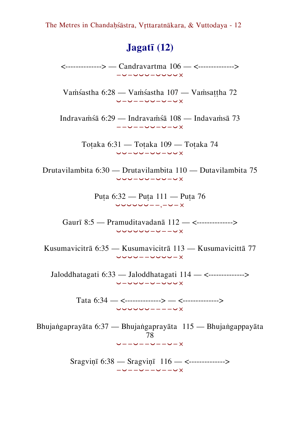### **Jagatī (12)**

<--------------> — Candravartma 106 — <--------------> −⏑−⏑⏑⏑−⏑⏑⏑⏑×

Vaṁśastha 6:28 — Vaṁśastha 107 — Vaṁsaṭṭha 72 ⏑−⏑−−⏑⏑−⏑−⏑×

Indravaṁśā 6:29 — Indravaṁśā 108 — Indavaṁsā 73 −−⏑−−⏑⏑−⏑−⏑×

> Toṭaka 6:31 — Toṭaka 109 — Toṭaka 74 ⏑⏑−⏑⏑−⏑⏑−⏑⏑×

Drutavilambita 6:30 — Drutavilambita 110 — Dutavilambita 75 ⏑⏑⏑−⏑⏑−⏑⏑−⏑×

> Puṭa 6:32 — Puṭa 111 — Puṭa 76 ⏑⏑⏑⏑⏑⏑−−,−⏑−×

Gaurī 8:5 — Pramuditavadanā 112 — <--------------> ⏑⏑⏑⏑⏑⏑−⏑−−⏑×

Kusumavicitrā 6:35 — Kusumavicitrā 113 — Kusumavicittā 77 ⏑⏑⏑⏑−−⏑⏑⏑⏑−×

Jaloddhatagati 6:33 — Jaloddhatagati 114 — <--------------> ⏑−⏑⏑⏑−⏑−⏑⏑⏑×

> Tata  $6:34$  — <--------------> — <---------------> ⏑⏑⏑⏑⏑⏑−−−−⏑×

Bhujaṅgaprayāta 6:37 — Bhujaṅgaprayāta 115 — Bhujaṅgappayāta 78 ⏑−−⏑−−⏑−−⏑−×

> Sragviṇī 6:38 — Sragviṇī 116 — <--------------> −⏑−−⏑−−⏑−−⏑×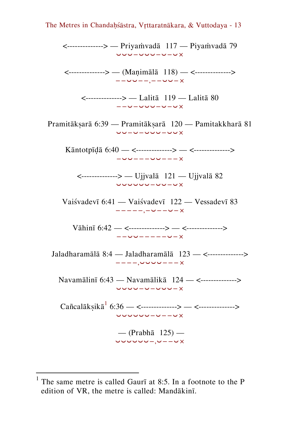<--------------> — Priyaṁvadā 117 — Piyaṁvadā 79 ⏑⏑⏑−⏑⏑⏑−⏑−⏑×

<--------------> — (Maṇimālā 118) — <--------------> −−⏑⏑−−,−−⏑⏑−×

<--------------> — Lalitā 119 — Lalitā 80 −−⏑−⏑⏑⏑−⏑−⏑×

Pramitākṣarā 6:39 — Pramitākṣarā 120 — Pamitakkharā 81 ⏑⏑−⏑−⏑⏑⏑−⏑⏑×

Kāntotpīḍā 6:40 — <--------------> — <--------------> −⏑⏑−−−⏑⏑−−−×

<--------------> — Ujjvalā 121 — Ujjvalā 82 ⏑⏑⏑⏑⏑⏑−⏑⏑−⏑×

Vaiśvadevī 6:41 — Vaiśvadevī 122 — Vessadevī 83 −−−−−,−⏑−−⏑−×

Vāhinī 6:42 — <--------------> — <--------------> −−⏑⏑−−−−−⏑−×

Jaladharamālā 8:4 — Jaladharamālā 123 — <--------------> −−−−,⏑⏑⏑⏑−−−×

Navamālinī 6:43 — Navamālikā 124 — <--------------> ⏑⏑⏑⏑−⏑−⏑⏑⏑−×

Cañcalākṣikā<sup>1</sup> 6:36 — <--------------> — <--------------> ⏑⏑⏑⏑⏑⏑−⏑−−⏑×

> — (Prabhā 125) — ⏑⏑⏑⏑⏑⏑−,⏑−−⏑×

<sup>&</sup>lt;sup>1</sup> The same metre is called Gaurī at 8:5. In a footnote to the P edition of VR, the metre is called: Mandākinī.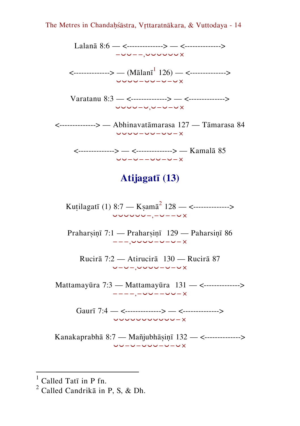Lalanā 8:6 — <--------------> — <--------------> −⏑⏑−−,⏑⏑⏑⏑⏑⏑×

 $\leftarrow$  (Mālanī $^{-1}$  126) —  $\leftarrow$   $\leftarrow$   $\leftarrow$ ⏑⏑⏑⏑−⏑⏑−⏑−⏑×

Varatanu 8:3 — <--------------> — <--------------> ⏑⏑⏑⏑−⏑,⏑−⏑−⏑×

<--------------> — Abhinavatāmarasa 127 — Tāmarasa 84 ⏑⏑⏑⏑−⏑⏑−⏑⏑−×

<--------------> — <--------------> — Kamalā 85 ⏑⏑−⏑−−⏑⏑−⏑−×

## **Atijagatī (13)**

Kuṭilagatī (1) 8:7 — Kṣamā<sup>2</sup> 128 — <--------------> ⏑⏑⏑⏑⏑⏑−,−⏑−−⏑×

Praharsinī 7:1 — Praharsinī 129 — Paharsinī 86 −−−,⏑⏑⏑⏑−⏑−⏑−×

Rucirā 7:2 — Atirucirā 130 — Rucirā 87 ⏑−⏑−,⏑⏑⏑⏑−⏑−⏑×

Mattamayūra 7:3 — Mattamayūra 131 — <--------------> −−−−,−⏑⏑−−⏑⏑−×

> Gaurī 7:4 — <--------------> — <--------------> ⏑⏑⏑⏑⏑⏑⏑⏑⏑⏑⏑−×

Kanakaprabhā 8:7 — Mañjubhāṣiṇī 132 — <--------------> ⏑⏑−⏑−⏑⏑⏑−⏑−⏑×

Called Tatī in P fn.

 $^{2}$  Called Candrika in P, S, & Dh.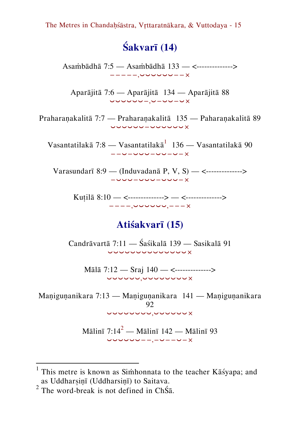# **Śakvarī (14)**

Asaṁbādhā 7:5 — Asaṁbādhā 133 — <--------------> −−−−−,⏑⏑⏑⏑⏑⏑−−×

Aparājitā 7:6 — Aparājitā 134 — Aparājitā 88 ⏑⏑⏑⏑⏑⏑−,⏑−⏑⏑−⏑×

Praharaṇakalitā 7:7 — Praharaṇakalitā 135 — Paharaṇakalitā 89 ⏑⏑⏑⏑⏑⏑−⏑⏑⏑⏑⏑⏑×

Vasantatilakā 7:8 — Vasantatilakā $^1$  136 — Vasantatilakā 90 −−⏑−⏑⏑⏑−⏑⏑−⏑−×

Varasundarī 8:9 — (Induvadanā P, V, S) — <--------------> −⏑⏑⏑−⏑⏑⏑−⏑⏑⏑−×

> Kuṭilā 8:10 — <--------------> — <--------------> −−−−,⏑⏑⏑⏑⏑⏑,−−−×

### **Atiśakvarī (15)**

Candrāvartā 7:11 — Śaśikalā 139 — Sasikalā 91 ⏑⏑⏑⏑⏑⏑⏑⏑⏑⏑⏑⏑⏑⏑×

Mālā 7:12 — Sraj 140 — <--------------> ⏑⏑⏑⏑⏑⏑,⏑⏑⏑⏑⏑⏑⏑⏑×

Manigunanikara 7:13 — Manigunanikara 141 — Manigunanikara  $92$ ⏑⏑⏑⏑⏑⏑⏑⏑,⏑⏑⏑⏑⏑⏑×

> Mālinī  $7:14^2$  — Mālinī 142 — Mālinī 93 ⏑⏑⏑⏑⏑⏑−−,−⏑−−⏑−×

<sup>&</sup>lt;sup>1</sup> This metre is known as Simhonnata to the teacher Kāśyapa; and as Uddharsinī (Uddharsinī) to Saitava.

<sup>&</sup>lt;sup>2</sup> The word-break is not defined in ChŚā.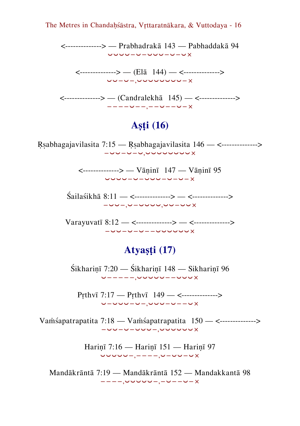<--------------> — Prabhadrakā 143 — Pabhaddakā 94 ⏑⏑⏑⏑−⏑−⏑⏑⏑−⏑−⏑×

<--------------> — (Elā 144) — <--------------> ⏑⏑−⏑−,⏑⏑⏑⏑⏑⏑⏑⏑−×

<--------------> — (Candralekhā 145) — <--------------> −−−−⏑−−,−−⏑−−⏑−×

# **Aṣṭi (16)**

Ṛṣabhagajavilasita 7:15 — Ṛṣabhagajavilasita 146 — <--------------> −⏑⏑−⏑−⏑,⏑⏑⏑⏑⏑⏑⏑⏑×

> <--------------> — Vāṇinī 147 — Vāṇinī 95 ⏑⏑⏑⏑−⏑−⏑⏑⏑−⏑−⏑−×

Śailaśikhā 8:11 — <--------------> — <--------------> −⏑⏑−,⏑−⏑⏑⏑⏑,⏑⏑−⏑⏑×

Varayuvatī 8:12 — <--------------> — <--------------> −⏑⏑−⏑−⏑−−⏑⏑⏑⏑⏑⏑×

### **Atyaṣṭi (17)**

Śikharinī 7:20 — Śikharinī 148 — Sikharinī 96 ⏑−−−−−,⏑⏑⏑⏑⏑−−⏑⏑⏑×

Pṛthvī 7:17 — Pṛthvī 149 — <--------------> ⏑−⏑⏑⏑−⏑−,⏑⏑⏑−⏑−−⏑×

Vaṁśapatrapatita 7:18 — Vaṁśapatrapatita 150 — <--------------> −⏑⏑−⏑−⏑⏑⏑−,⏑⏑⏑⏑⏑⏑×

> Hariṇī 7:16 — Hariṇī 151 — Hariṇī 97 ⏑⏑⏑⏑⏑−,−−−−,⏑−⏑⏑−⏑×

Mandākrāntā 7:19 — Mandākrāntā 152 — Mandakkantā 98 −−−−,⏑⏑⏑⏑⏑−,−⏑−−⏑−×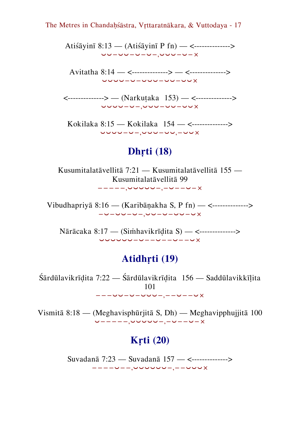Atiśāyinī 8:13 — (Atiśāyinī P fn) — <--------------> ⏑⏑−⏑⏑−⏑−⏑−,⏑⏑⏑−⏑−×

Avitatha 8:14 — <--------------> — <--------------> ⏑⏑⏑⏑−⏑−⏑⏑⏑−⏑⏑−⏑⏑×

<--------------> — (Narkuṭaka 153) — <--------------> ⏑⏑⏑⏑−⏑−,⏑⏑⏑−⏑⏑−⏑⏑×

Kokilaka 8:15 — Kokilaka 154 — <--------------> ⏑⏑⏑⏑−⏑−,⏑⏑⏑−⏑⏑,−⏑⏑×

### **Dhṛti (18)**

Kusumitalatāvellitā 7:21 — Kusumitalatāvellitā 155 — Kusumitalatāvellitā 99 −−−−−,⏑⏑⏑⏑⏑−,−⏑−−⏑−×

Vibudhapriyā 8:16 — (Karibāṇakha S, P fn) — <--------------> −⏑−⏑⏑−⏑−,⏑⏑−⏑−⏑⏑−⏑×

Nārācaka 8:17 — (Siṁhavikrīḍita S) — <--------------> ⏑⏑⏑⏑⏑⏑−⏑−−⏑−−⏑−−⏑×

### **Atidhṛti (19)**

Śārdūlavikrīḍita 7:22 — Śārdūlavikrīḍita 156 — Saddūlavikkīḷita 101 −−−⏑⏑−⏑−⏑⏑⏑−,−−⏑−−⏑×

Vismitā 8:18 — (Meghavisphūrjitā S, Dh) — Meghavipphujjitā 100 ⏑−−−−−,⏑⏑⏑⏑⏑−,−⏑−−⏑−×

### **Kṛti (20)**

Suvadanā 7:23 — Suvadanā 157 — <--------------> −−−−⏑−−,⏑⏑⏑⏑⏑⏑−,−−⏑⏑⏑×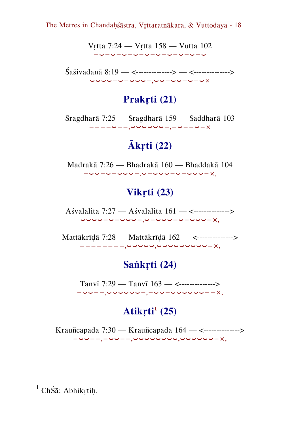Vṛtta 7:24 — Vṛtta 158 — Vutta 102 −⏑−⏑−⏑−⏑−⏑−⏑−⏑−⏑−⏑−⏑

Śaśivadanā 8:19 — <--------------> — <--------------> ⏑⏑⏑⏑−⏑−⏑⏑⏑−,⏑⏑−⏑⏑−⏑−⏑×

### **Prakṛti (21)**

Sragdharā 7:25 — Sragdharā 159 — Saddharā 103 −−−−⏑−−,⏑⏑⏑⏑⏑⏑−,−⏑−−⏑−×

# **Ākṛti (22)**

Madrakā 7:26 — Bhadrakā 160 — Bhaddakā 104 −⏑⏑−⏑−⏑⏑⏑−,⏑−⏑⏑⏑−⏑−⏑⏑⏑−×,

# **Vikṛti (23)**

Aśvalalitā 7:27 — Aśvalalitā 161 — <--------------> ⏑⏑⏑⏑−⏑−⏑⏑⏑−,⏑−⏑⏑⏑−⏑−⏑⏑⏑−×,

Mattākrīḍā 7:28 — Mattākrīḍā 162 — <--------------> −−−−−−−−,⏑⏑⏑⏑⏑,⏑⏑⏑⏑⏑⏑⏑⏑⏑−×,

# **Saṅkṛti (24)**

Tanvī 7:29 — Tanvī 163 — <--------------> −⏑⏑−−,⏑⏑⏑⏑⏑⏑−,−⏑⏑−⏑⏑⏑⏑⏑⏑−−×,

# **Atikṛti<sup>1</sup> (25)**

Krauñcapadā 7:30 — Krauñcapadā 164 — <--------------> −⏑⏑−−,−⏑⏑−−,⏑⏑⏑⏑⏑⏑⏑⏑,⏑⏑⏑⏑⏑⏑−×,

- $<sup>1</sup>$  ChŚā: Abhikṛtiḥ.</sup>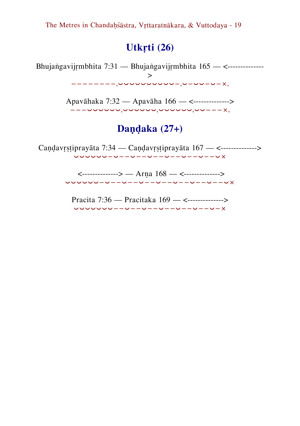## **Utkṛti (26)**

Bhujaṅgavijṛmbhita 7:31 — Bhujaṅgavijṛmbhita 165 — <-------------- > −−−−−−−−,⏑⏑⏑⏑⏑⏑⏑⏑⏑⏑−,⏑−⏑⏑−⏑−×,

> Apavāhaka 7:32 — Apavāha 166 — <--------------> −−−⏑⏑⏑⏑⏑⏑,⏑⏑⏑⏑⏑⏑,⏑⏑⏑⏑⏑⏑,⏑⏑−−−×,

### **Daṇḍaka (27+)**

Candavrstiprayāta 7:34 — Candavrstiprayāta 167 — <--------------> ⏑⏑⏑⏑⏑⏑−⏑−−⏑−−⏑−−⏑−−⏑−−⏑−−⏑×

> <--------------> — Arṇa 168 — <--------------> ⏑⏑⏑⏑⏑⏑−⏑−−⏑−−⏑−−⏑−−⏑−−⏑−−⏑−−⏑×

Pracita 7:36 — Pracitaka 169 — <--------------> ⏑⏑⏑⏑⏑⏑⏑−−⏑−−⏑−−⏑−−⏑−−⏑−−⏑−×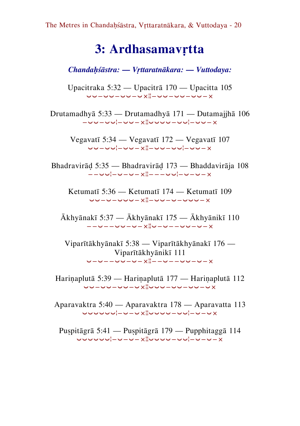# <span id="page-19-0"></span>**3: Ardhasamavṛtta**

*Chandaḥśāstra: — Vṛttaratnākara: — Vuttodaya:*

Upacitraka 5:32 — Upacitrā 170 — Upacitta 105 ⏑⏑−⏑⏑−⏑⏑−⏑צ¦−⏑⏑−⏑⏑−⏑⏑−×

Drutamadhyā 5:33 — Drutamadhyā 171 — Dutamajjhā 106 −⏑⏑−⏑⏑¦−⏑⏑−צ¦⏑⏑⏑⏑−⏑⏑¦−⏑⏑−×

Vegavatī 5:34 — Vegavatī 172 — Vegavatī 107 ⏑⏑−⏑⏑¦−⏑⏑−צ¦−⏑⏑−⏑⏑¦−⏑⏑−×

Bhadravirāḍ 5:35 — Bhadravirāḍ 173 — Bhaddavirāja 108 −−∪∪¦−∪−∪−x¦−−−∪∪¦−∪−∪−×

Ketumatī 5:36 — Ketumatī 174 — Ketumatī 109 ⏑⏑−⏑−⏑⏑⏑−צ¦−⏑⏑−⏑−⏑⏑⏑−×

Ākhyānakī 5:37 — Ākhyānakī 175 — Ākhyānikī 110 −−⏑−−⏑⏑−⏑−צ¦⏑−⏑−−⏑⏑−⏑−×

Viparītākhyānakī 5:38 — Viparītākhyānakī 176 — Viparītākhyānikī 111 ⏑−⏑−−⏑⏑−⏑−צ¦−−⏑−−⏑⏑−⏑−×

Hariṇaplutā 5:39 — Hariṇaplutā 177 — Hariṇaplutā 112 ⏑⏑−⏑⏑−⏑⏑−⏑צ¦⏑⏑⏑−⏑⏑−⏑⏑−⏑×

Aparavaktra 5:40 — Aparavaktra 178 — Aparavatta 113 ⏑⏑⏑⏑⏑⏑¦−⏑−⏑צ¦⏑⏑⏑⏑−⏑⏑¦−⏑−⏑×

Puṣpitāgrā 5:41 — Puṣpitāgrā 179 — Pupphitaggā 114 ⏑⏑⏑⏑⏑⏑¦−⏑−⏑−צ¦⏑⏑⏑⏑−⏑⏑¦−⏑−⏑−×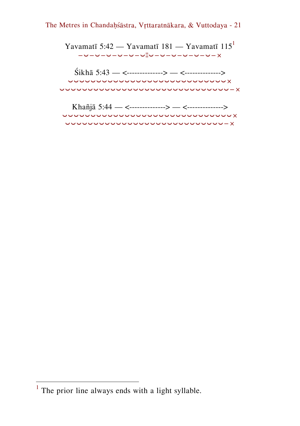Yavamatī 5:42 — Yavamatī 181 — Yavamatī 115<sup>1</sup> −⏑−⏑−⏑−⏑−⏑−⏑¦¦⏑−⏑−⏑−⏑−⏑−⏑−×

Śikhā 5:43 — <--------------> — <--------------> ⏑⏑⏑⏑⏑⏑⏑⏑⏑⏑⏑⏑⏑⏑⏑⏑⏑⏑⏑⏑⏑⏑⏑⏑⏑⏑⏑⏑× ⏑⏑⏑⏑⏑⏑⏑⏑⏑⏑⏑⏑⏑⏑⏑⏑⏑⏑⏑⏑⏑⏑⏑⏑⏑⏑⏑⏑⏑⏑−×

| Khañjā 5:44 — <--------------> — <--------------> |
|---------------------------------------------------|
| <u>UUUUUUUUUUUUUUUUUUUUUUUUUUUUU X</u>            |
| <u>UUUUUUUUUUUUUUUUUUUUUUUUUUUU – x -</u>         |

<sup>&</sup>lt;sup>1</sup> The prior line always ends with a light syllable.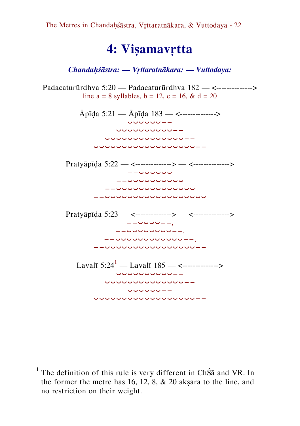# <span id="page-21-0"></span>**4: Viṣamavṛtta**

*Chandaḥśāstra: — Vṛttaratnākara: — Vuttodaya:*

Padacaturūrdhva 5:20 — Padacaturūrdhva 182 — <--------------> line  $a = 8$  syllables,  $b = 12$ ,  $c = 16$ ,  $\& d = 20$ 



<sup>&</sup>lt;sup>1</sup> The definition of this rule is very different in ChŚā and VR. In the former the metre has  $16, 12, 8, \& 20$  aksara to the line, and no restriction on their weight.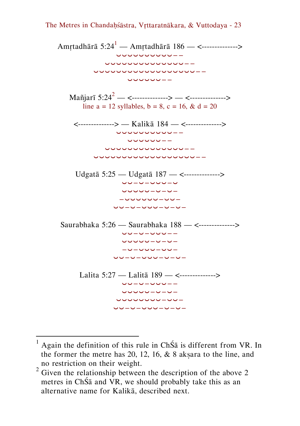

 $<sup>1</sup>$  Again the definition of this rule in ChŚ $\bar{a}$  is different from VR. In</sup> the former the metre has 20, 12, 16,  $\&$  8 aksara to the line, and no restriction on their weight.

 $2\,\text{Given the relationship between the description of the above 2}$ metres in ChŚā and VR, we should probably take this as an alternative name for Kalikā, described next.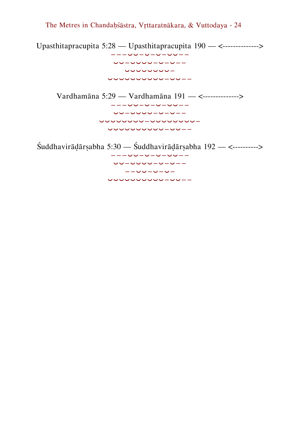Upasthitapracupita 5:28 — Upasthitapracupita 190 — <--------------> −−−⏑⏑−⏑−⏑−⏑⏑−− ⏑⏑−⏑⏑⏑⏑−⏑−⏑−− ⏑⏑⏑⏑⏑⏑⏑⏑− ⏑⏑⏑⏑⏑⏑⏑⏑⏑⏑−⏑⏑−− Vardhamāna 5:29 — Vardhamāna 191 — <--------------> −−−⏑⏑−⏑−⏑−⏑⏑−− ⏑⏑−⏑⏑⏑⏑−⏑−⏑−− ⏑⏑⏑⏑⏑⏑⏑⏑−⏑⏑⏑⏑⏑⏑⏑⏑− ⏑⏑⏑⏑⏑⏑⏑⏑⏑⏑−⏑⏑−− Śuddhavirāḍārṣabha 5:30 — Śuddhavirāḍārṣabha 192 — <----------> −−−⏑⏑−⏑−⏑−⏑⏑−− ⏑⏑−⏑⏑⏑⏑−⏑−⏑−− −−⏑⏑−⏑−⏑−

⏑⏑⏑⏑⏑⏑⏑⏑⏑⏑−⏑⏑−−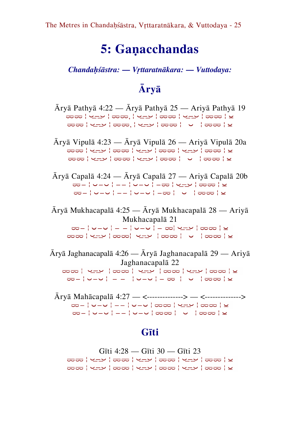# **5: Gaṇacchandas**

*Chandaḥśāstra: — Vṛttaratnākara: — Vuttodaya:*

# <span id="page-24-0"></span>**Āryā**

Āryā Pathyā 4:22 — Āryā Pathyā 25 — Ariyā Pathyā 19 ضض ¦ پ\_ے ¦ ضض ¦ پ\_ے ¦ ضض ¦ پ\_ے ¦ ضض ¦ ی حاص | پ\_ے | صحر | پ\_ے | صص | ∪ | ← | ← | <mark>← </mark>

Āryā Vipulā 4:23 — Āryā Vipulā 26 — Ariyā Vipulā 20a ضض ¦ پ\_ے ¦ ضض ¦ پ\_ے ¦ ضض ¦ پ\_ے ¦ ضض ¦ ی a | <del>∞</del> ∞ | عضہ | عضہ | ضض | عضہ | ن

Āryā Capalā 4:24 — Āryā Capalā 27 — Ariyā Capalā 20b ⏔− ¦ ⏑−⏑ ¦ −− ¦ ⏑−⏑ ¦ −⏔ ¦ ¦ ⏔⏔ ¦ ⏓ ⏔− ¦ ⏑−⏑ ¦ −− ¦ ⏑−⏑ ¦ −⏔ ¦ ⏑ ¦ ⏔⏔ ¦ ⏓

Āryā Mukhacapalā 4:25 — Āryā Mukhacapalā 28 — Ariyā Mukhacapalā 21 <u> ಹ – | ೧ – ೧ | – – | ೧ – ೧ | – ಹ| ೧ – ۳ | ಹಹ | ೬</u> المار التي المار المار المار المار المار الماري الماري الماري الماري الماري الماري الماري الماري ال<br>الماري الماري الماري الماري الماري الماري الماري الماري الماري الماري الماري الماري الماري الماري الماري المار

Āryā Jaghanacapalā 4:26 — Āryā Jaghanacapalā 29 — Ariyā Jaghanacapalā 22 ساب | صحت | صحت | سے | صحت | ساب | صحت | س ⏔− ¦ ⏑−⏑ ¦ − − ¦ ⏑−⏑ ¦ − ⏔ ¦ ⏑ ¦ ⏔⏔ ¦ ⏓

Āryā Mahācapalā 4:27 — <--------------> — <--------------> <u> پ | پ د اول | پ د اول د اول د اول اول</u> ⏔− ¦ ⏑−⏑ ¦ −− ¦ ⏑−⏑ ¦ ⏔⏔ ¦ ⏑ ¦ ⏔⏔ ¦ ⏓

#### **Gīti**

Gīti 4:28 — Gīti 30 — Gīti 23<del>الماض | بارے | ماض | بارے | ماض | بارے | ماض</del> ثم من الربيع | من الربيع | من الربيع | من الربيع | من الربيع | من الربيع | من الربيع | من الربيع | م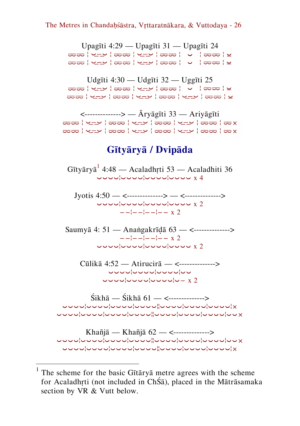Upagīti 4:29 — Upagīti 31 — Upagīti 24 أَصْحَةٍ | تَحْتَمَ إِنْ نَا الْمَحْمَّ | مَا أَخْذَبُ الْمَحْمَّ إِنْ الْمَحْمَّ Udgīti 4:30 — Udgīti 32 — Uggīti 25 ا الحصة | نوحة | نوحة | محمد | من المحمد | نوحة | يو <del>الماض | بارے | صحب | بارے | صحب | بارے | صحب</del> <--------------> — Āryāgīti 33 — Ariyāgīti <del>مامه | مامه | ب\_ب</del> | <del>مامه | ب\_ب</del> | مامه | ب\_ب | <del>مامه</del> <del>مامه : پاپ : مامه : پاپ : مامه : پاپ : مامه :</del> مامه : مامه : مامه : مامه : مامه : مامه : مامه : مامه : مامه : م **Gītyāryā / Dvipāda** Gītyāryā <sup>1</sup>4:48 — Acaladhṛti 53 — Acaladhiti 36 ⏑⏑⏑⏑¦⏑⏑⏑⏑¦⏑⏑⏑⏑¦⏑⏑⏑⏑ x 4 Jyotis  $4:50 - \langle$ --------------> —  $\langle$ --------------> ⏑⏑⏑⏑¦⏑⏑⏑⏑¦⏑⏑⏑⏑¦⏑⏑⏑⏑ x 2 −−¦−−¦−−¦−− x 2 Saumyā 4: 51 — Anaṅgakrīḍā 63 — <--------------> −−¦−−¦−−¦−− x 2  $\overline{y}$ Cūlikā 4:52 — Atirucirā — <--------------> ⏑⏑⏑⏑¦⏑⏑⏑⏑¦⏑⏑⏑⏑¦⏑⏑ ⏑⏑⏑⏑¦⏑⏑⏑⏑¦⏑⏑⏑⏑¦⏑− x 2 Śikhā — Śikhā 61 — <-------------->

⏑⏑⏑⏑¦⏑⏑⏑⏑¦⏑⏑⏑⏑¦⏑⏑⏑⏑¦¦⏑⏑⏑⏑¦⏑⏑⏑⏑¦⏑⏑⏑⏑¦× ⏑⏑⏑⏑¦⏑⏑⏑⏑¦⏑⏑⏑⏑¦⏑⏑⏑⏑¦¦⏑⏑⏑⏑¦⏑⏑⏑⏑¦⏑⏑⏑⏑¦⏑⏑×

Khañjā — Khañjā 62 — <--------------> ⏑⏑⏑⏑¦⏑⏑⏑⏑¦⏑⏑⏑⏑¦⏑⏑⏑⏑¦¦⏑⏑⏑⏑¦⏑⏑⏑⏑¦⏑⏑⏑⏑¦⏑⏑× ⏑⏑⏑⏑¦⏑⏑⏑⏑¦⏑⏑⏑⏑¦⏑⏑⏑⏑¦¦⏑⏑⏑⏑¦⏑⏑⏑⏑¦⏑⏑⏑⏑¦×

<sup>&</sup>lt;sup>1</sup> The scheme for the basic Gītāryā metre agrees with the scheme for Acaladhṛti (not included in ChŚā), placed in the Mātrāsamaka section by VR & Vutt below.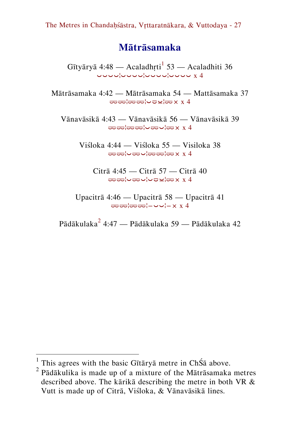#### **Mātrāsamaka**

Gītyāryā 4:48 — Acaladhṛti<sup>1</sup> 53 — Acaladhiti 36  $\overline{a}$ 

Mātrāsamaka 4:42 — Mātrāsamaka 54 — Mattāsamaka 37 ⏔⏔¦⏔⏔¦⏑⏒⏓¦⏔× x 4

Vānavāsikā 4:43 — Vānavāsikā 56 — Vānavāsikā 39 ⏔⏔¦⏔⏔¦⏑⏔⏑¦⏔× x 4

> Viśloka 4:44 — Viśloka 55 — Visiloka 38 ⏔⏔¦⏑⏔⏑¦⏔⏔¦⏔× x 4

Citrā 4:45 — Citrā 57 — Citrā 40 ⏔⏔¦⏑⏔⏑¦⏑⏒⏓¦⏔× x 4

Upacitrā 4:46 — Upacitrā 58 — Upacitrā 41 ⏔⏔¦⏔⏔¦−⏑⏑¦−× x 4

Pādākulaka $^2$  4:47 — Pādākulaka 59 — Pādākulaka 42

<sup>&</sup>lt;sup>1</sup> This agrees with the basic Gītāryā metre in ChŚā above.

 $2$  Pādākulika is made up of a mixture of the Mātrāsamaka metres described above. The kārikā describing the metre in both VR & Vutt is made up of Citrā, Viśloka, & Vānavāsikā lines.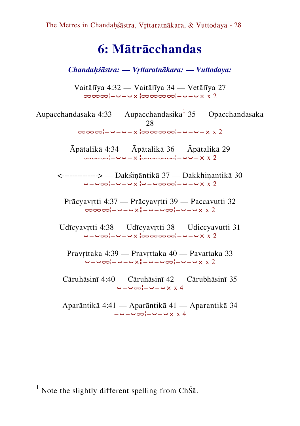# <span id="page-27-0"></span>**6: Mātrācchandas**

*Chandaḥśāstra: — Vṛttaratnākara: — Vuttodaya:*

Vaitālīya 4:32 — Vaitālīya 34 — Vetālīya 27 ⏔⏔⏔¦−⏑−⏑צ¦⏔⏔⏔⏔¦−⏑−⏑× x 2

Aupacchandasaka 4:33 — Aupacchandasika $^{1}$  35 — Opacchandasaka 28 ⏔⏔⏔¦−⏑−⏑−צ¦⏔⏔⏔⏔¦−⏑−⏑−× x 2

> Āpātalikā 4:34 — Āpātalikā 36 — Āpātalikā 29 ⏔⏔⏔¦−⏑⏑−צ¦⏔⏔⏔⏔¦−⏑⏑−× x 2

<--------------> — Dakśiṇāntikā 37 — Dakkhiṇantikā 30 ⏑−⏑⏔¦−⏑−⏑צ¦⏑−⏑⏔⏔¦−⏑−⏑× x 2

Prācyavṛtti 4:37 — Prācyavṛtti 39 — Paccavutti 32 ⏔⏔⏔¦−⏑−⏑צ¦−⏑−⏑⏔¦−⏑−⏑× x 2

Udīcyavṛtti 4:38 — Udīcyavṛtti 38 — Udiccyavutti 31 ⏑−⏑⏔¦−⏑−⏑צ¦⏔⏔⏔⏔¦−⏑−⏑× x 2

Pravṛttaka 4:39 — Pravṛttaka 40 — Pavattaka 33 ⏑−⏑⏔¦−⏑−⏑צ¦−⏑−⏑⏔¦−⏑−⏑× x 2

Cāruhāsinī 4:40 — Cāruhāsinī 42 — Cārubhāsinī 35 ⏑−⏑⏔¦−⏑−⏑× x 4

Aparāntikā 4:41 — Aparāntikā 41 — Aparantikā 34 −⏑−⏑⏔¦−⏑−⏑× x 4

-

<sup>&</sup>lt;sup>1</sup> Note the slightly different spelling from ChŚ $\bar{a}$ .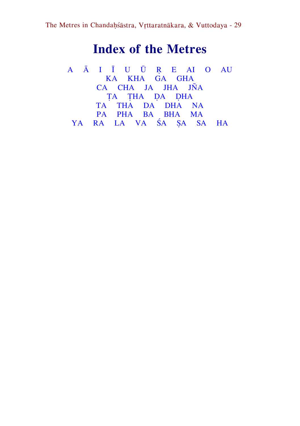# **Index of the Metres**

<span id="page-28-0"></span>[A](#page-28-0) [Ā](#page-29-0) [I](#page-29-1) [Ī](#page-29-1) [U](#page-29-2) [Ū](#page-29-2) [Ṛ](#page-29-2) [E AI](#page-30-0) [O](#page-30-1) [AU](#page-30-2) [KA](#page-30-3) [KHA](#page-30-4) [GA GHA](#page-30-5) [CA CHA](#page-30-5) [JA JHA JÑA](#page-31-0) TA THA DA DHA [TA THA](#page-31-1) [DA](#page-31-2) [DHA](#page-31-3) [NA](#page-31-4) [PA PHA](#page-31-5) [BA](#page-32-0) [BHA](#page-32-1) [MA](#page-32-2) [YA](#page-32-3) [RA](#page-32-4) [LA](#page-33-0) [VA](#page-33-1) [ŚA](#page-34-0) [ṢA](#page-34-0) [SA](#page-34-1) [HA](#page-34-2)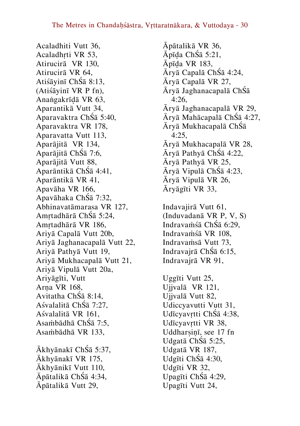Acaladhiti Vutt 36, Acaladhṛti VR 53, Atirucirā VR 130, Atirucirā VR 64, Atiśāyinī ChŚā 8:13, (Atiśāyinī VR P fn), Anaṅgakrīḍā VR 63, Aparantikā Vutt 34, Aparavaktra ChŚā 5:40, Aparavaktra VR 178, Aparavatta Vutt 113, Aparājitā VR 134, Aparājitā ChŚā 7:6, Aparājitā Vutt 88, Aparāntikā ChŚā 4:41, Aparāntikā VR 41, Apavāha VR 166, Apavāhaka ChŚā 7:32, Abhinavatāmarasa VR 127, Amṛtadhārā ChŚā 5:24, Amṛtadhārā VR 186, Ariyā Capalā Vutt 20b, Ariyā Jaghanacapalā Vutt 22, Ariyā Pathyā Vutt 19, Ariyā Mukhacapalā Vutt 21, Ariyā Vipulā Vutt 20a, Ariyāgīti, Vutt Arṇa VR 168, Avitatha ChŚā 8:14, Aśvalalitā ChŚā 7:27, Aśvalalitā VR 161, Asaṁbādhā ChŚā 7:5, Asaṁbādhā VR 133, Ākhyānakī ChŚā 5:37, Ākhyānakī VR 175, Ākhyānikī Vutt 110, Āpātalikā ChŚā 4:34, Āpātalikā Vutt 29,

Āpātalikā VR 36, Āpīḍa ChŚā 5:21, Āpīḍa VR 183, Āryā Capalā ChŚā 4:24, Āryā Capalā VR 27, Āryā Jaghanacapalā ChŚā 4:26, Āryā Jaghanacapalā VR 29, Āryā Mahācapalā ChŚā 4:27, Āryā Mukhacapalā ChŚā 4:25, Āryā Mukhacapalā VR 28, Āryā Pathyā ChŚā 4:22, Āryā Pathyā VR 25, Āryā Vipulā ChŚā 4:23, Āryā Vipulā VR 26, Āryāgīti VR 33, Indavajirā Vutt 61, (Induvadanā VR P, V, S) Indravaṁśā ChŚā 6:29, Indravaṁśā VR 108, Indravaṁsā Vutt 73, Indravajrā ChŚā 6:15,

<span id="page-29-2"></span><span id="page-29-0"></span>Uggīti Vutt 25, Ujjvalā VR 121, Ujjvalā Vutt 82, Udiccyavutti Vutt 31, Udīcyavṛtti ChŚā 4:38, Udīcyavṛtti VR 38, Uddharsin<del>ī</del>, see 17 fn Udgatā ChŚā 5:25, Udgatā VR 187, Udgīti ChŚā 4:30, Udgīti VR 32, Upagīti ChŚā 4:29, Upagīti Vutt 24,

<span id="page-29-1"></span>Indravajrā VR 91,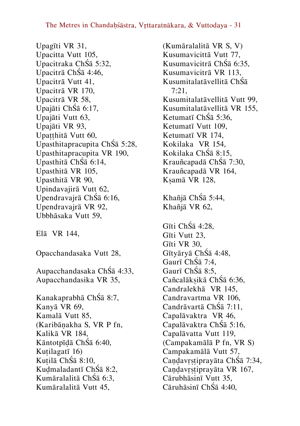Upagīti VR 31, Upacitta Vutt 105, Upacitraka ChŚā 5:32, Upacitrā ChŚā 4:46, Upacitrā Vutt 41, Upacitrā VR 170, Upacitrā VR 58, Upajāti ChŚā 6:17, Upajāti Vutt 63, Upajāti VR 93, Upatthitā Vutt 60, Upasthitapracupita ChŚā 5:28, Upasthitapracupita VR 190, Upasthitā ChŚā 6:14, Upasthitā VR 105, Upasthitā VR 90, Upindavajirā Vutt 62, Upendravajrā ChŚā 6:16, Upendravajrā VR 92, Ubbhāsaka Vutt 59,

<span id="page-30-5"></span><span id="page-30-4"></span><span id="page-30-1"></span><span id="page-30-0"></span>Elā VR 144,

<span id="page-30-2"></span>Opacchandasaka Vutt 28,

Aupacchandasaka ChŚā 4:33, Aupacchandasika VR 35,

<span id="page-30-3"></span>Kanakaprabhā ChŚā 8:7, Kanyā VR 69, Kamalā Vutt 85, (Karibāṇakha S, VR P fn, Kalikā VR 184, Kāntotpīḍā ChŚā 6:40, Kuṭilagatī 16) Kuṭilā ChŚā 8:10, Kuḍmaladantī ChŚā 8:2, Kumāralalitā ChŚā 6:3, Kumāralalitā Vutt 45,

(Kumāralalitā VR S, V) Kusumavicittā Vutt 77, Kusumavicitrā ChŚā 6:35, Kusumavicitrā VR 113, Kusumitalatāvellitā ChŚā 7:21, Kusumitalatāvellitā Vutt 99, Kusumitalatāvellitā VR 155, Ketumatī ChŚā 5:36, Ketumatī Vutt 109, Ketumatī VR 174, Kokilaka VR 154, Kokilaka ChŚā 8:15, Krauñcapadā ChŚā 7:30, Krauñcapadā VR 164, Kṣamā VR 128, Khañjā ChŚā 5:44, Khañjā VR 62, Gīti ChŚā 4:28, Gīti Vutt 23, Gīti VR 30, Gītyāryā ChŚā 4:48, Gaurī ChŚā 7:4, Gaurī ChŚā 8:5, Cañcalākṣikā ChŚā 6:36, Candralekhā VR 145, Candravartma VR 106, Candrāvartā ChŚā 7:11, Capalāvaktra VR 46, Capalāvaktra ChŚā 5:16, Capalāvatta Vutt 119, (Campakamālā P fn, VR S) Campakamālā Vutt 57, Candavrstiprayāta ChŚā 7:34, Candavrstiprayāta VR 167, Cārubhāsinī Vutt 35, Cāruhāsinī ChŚā 4:40,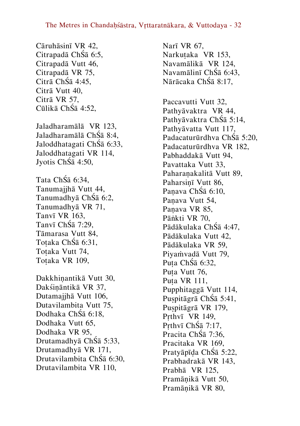Cāruhāsinī VR 42, Citrapadā ChŚā 6:5, Citrapadā Vutt 46, Citrapadā VR 75, Citrā ChŚā 4:45, Citrā Vutt 40, Citrā VR 57, Cūlikā ChŚā 4:52,

<span id="page-31-0"></span>Jaladharamālā VR 123, Jaladharamālā ChŚā 8:4, Jaloddhatagati ChŚā 6:33, Jaloddhatagati VR 114, Jyotis ChŚā 4:50,

<span id="page-31-1"></span>Tata ChŚā 6:34, Tanumajihā Vutt 44, Tanumadhyā ChŚā 6:2, Tanumadhyā VR 71, Tanvī VR 163, Tanvī ChŚā 7:29, Tāmarasa Vutt 84, Toṭaka ChŚā 6:31, Toṭaka Vutt 74, Toṭaka VR 109,

<span id="page-31-4"></span><span id="page-31-3"></span><span id="page-31-2"></span>Dakkhiṇantikā Vutt 30, Dakśiṇāntikā VR 37, Dutamajihā Vutt 106, Dutavilambita Vutt 75, Dodhaka ChŚā 6:18, Dodhaka Vutt 65, Dodhaka VR 95, Drutamadhyā ChŚā 5:33, Drutamadhyā VR 171, Drutavilambita ChŚā 6:30, Drutavilambita VR 110,

Narī VR 67, Narkuṭaka VR 153, Navamālikā VR 124, Navamālinī ChŚā 6:43, Nārācaka ChŚā 8:17,

<span id="page-31-5"></span>Paccavutti Vutt 32, Pathyāvaktra VR 44, Pathyāvaktra ChŚā 5:14, Pathyāvatta Vutt 117, Padacaturūrdhva ChŚā 5:20, Padacaturūrdhva VR 182, Pabhaddakā Vutt 94, Pavattaka Vutt 33, Paharaṇakalitā Vutt 89, Paharsinī Vutt 86, Paṇava ChŚā 6:10, Paṇava Vutt 54, Paṇava VR 85, Pāṅkti VR 70, Pādākulaka ChŚā 4:47, Pādākulaka Vutt 42, Pādākulaka VR 59, Piyaṁvadā Vutt 79, Puta ChŚā 6:32, Puta Vutt 76. Puṭa VR 111, Pupphitaggā Vutt 114, Puṣpitāgrā ChŚā 5:41, Puṣpitāgrā VR 179, Prthvī VR 149, Prthvī ChŚā 7:17. Pracita ChŚā 7:36, Pracitaka VR 169, Pratyāpīḍa ChŚā 5:22, Prabhadrakā VR 143, Prabhā VR 125, Pramāṇikā Vutt 50, Pramāṇikā VR 80,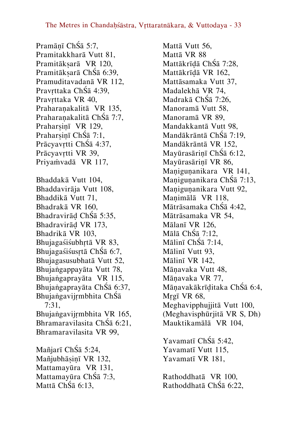<span id="page-32-1"></span><span id="page-32-0"></span>Pramāṇī ChŚā 5:7, Pramitakkharā Vutt 81, Pramitākṣarā VR 120, Pramitāksarā ChŚā 6:39, Pramuditavadanā VR 112, Pravṛttaka ChŚā 4:39, Pravrttaka VR 40, Praharaṇakalitā VR 135, Praharaṇakalitā ChŚā 7:7, Praharsinī VR 129, Praharsinī ChŚā 7:1, Prācyavṛtti ChŚā 4:37, Prācyavrtti VR 39, Priyaṁvadā VR 117, Bhaddakā Vutt 104, Bhaddavirāja Vutt 108, Bhaddikā Vutt 71, Bhadrakā VR 160, Bhadravirāḍ ChŚā 5:35, Bhadravirāḍ VR 173, Bhadrikā VR 103, Bhujagaśiśubhṛtā VR 83, Bhujagaśiśusṛtā ChŚā 6:7, Bhujagasusubhatā Vutt 52, Bhujaṅgappayāta Vutt 78, Bhujaṅgaprayāta VR 115, Bhujaṅgaprayāta ChŚā 6:37, Bhujaṅgavijṛmbhita ChŚā 7:31, Bhujaṅgavijṛmbhita VR 165, Bhramaravilasita ChŚā 6:21, Bhramaravilasita VR 99, Mañjarī ChŚā 5:24, Mañjubhāsinī VR 132, Mattamayūra VR 131, Mattamayūra ChŚā 7:3,

<span id="page-32-2"></span>Mattā ChŚā 6:13,

Mattā Vutt 56, Mattā VR 88 Mattākrīḍā ChŚā 7:28, Mattākrīḍā VR 162, Mattāsamaka Vutt 37, Madalekhā VR 74, Madrakā ChŚā 7:26, Manoramā Vutt 58, Manoramā VR 89, Mandakkantā Vutt 98, Mandākrāntā ChŚā 7:19, Mandākrāntā VR 152, Mayūrasāriṇī ChŚā 6:12, Mayūrasāriṇī VR 86, Manigunanikara VR 141, Maṇiguṇanikara ChŚā 7:13, Manigunanikara Vutt 92, Maṇimālā VR 118, Mātrāsamaka ChŚā 4:42, Mātrāsamaka VR 54, Mālanī VR 126, Mālā ChŚā 7:12, Mālinī ChŚā 7:14, Mālinī Vutt 93, Mālinī VR 142, Māṇavaka Vutt 48, Māṇavaka VR 77, Māṇavakākrīḍitaka ChŚā 6:4, Mṛgī VR 68, Meghavipphujjitā Vutt 100, (Meghavisphūrjitā VR S, Dh) Mauktikamālā VR 104, Yavamatī ChŚā 5:42,

<span id="page-32-3"></span>Yavamatī Vutt 115, Yavamatī VR 181,

<span id="page-32-4"></span>Rathoddhatā VR 100, Rathoddhatā ChŚā 6:22,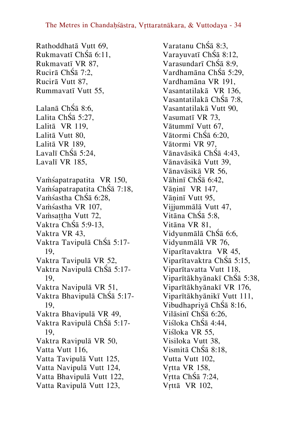Rathoddhatā Vutt 69, Rukmavatī ChŚā 6:11, Rukmavatī VR 87, Rucirā ChŚā 7:2, Rucirā Vutt 87, Rummavatī Vutt 55,

<span id="page-33-0"></span>Lalanā ChŚā 8:6, Lalita ChŚā 5:27, Lalitā VR 119, Lalitā Vutt 80, Lalitā VR 189, Lavalī ChŚā 5:24, Lavalī VR 185,

<span id="page-33-1"></span>Vaṁśapatrapatita VR 150, Vaṁśapatrapatita ChŚā 7:18, Vaṁśastha ChŚā 6:28, Vaṁśastha VR 107, Vamsattha Vutt 72, Vaktra ChŚā 5:9-13, Vaktra VR 43, Vaktra Tavipulā ChŚā 5:17- 19, Vaktra Tavipulā VR 52, Vaktra Navipulā ChŚā 5:17- 19, Vaktra Navipulā VR 51, Vaktra Bhavipulā ChŚā 5:17- 19, Vaktra Bhavipulā VR 49, Vaktra Ravipulā ChŚā 5:17- 19, Vaktra Ravipulā VR 50, Vatta Vutt 116, Vatta Tavipulā Vutt 125, Vatta Navipulā Vutt 124, Vatta Bhavipulā Vutt 122, Vatta Ravipulā Vutt 123,

Varatanu ChŚā 8:3, Varayuvatī ChŚā 8:12, Varasundarī ChŚā 8:9, Vardhamāna ChŚā 5:29, Vardhamāna VR 191, Vasantatilakā VR 136, Vasantatilakā ChŚā 7:8, Vasantatilakā Vutt 90, Vasumatī VR 73, Vātummī Vutt 67, Vātormi ChŚā 6:20, Vātormi VR 97, Vānavāsikā ChŚā 4:43, Vānavāsikā Vutt 39, Vānavāsikā VR 56, Vāhinī ChŚā 6:42, Vāṇinī VR 147, Vāninī Vutt 95, Vijjummālā Vutt 47, Vitāna ChŚā 5:8, Vitāna VR 81, Vidyunmālā ChŚā 6:6, Vidyunmālā VR 76, Viparītavaktra VR 45, Viparītavaktra ChŚā 5:15, Viparītavatta Vutt 118, Viparītākhyānakī ChŚā 5:38, Viparītākhyānakī VR 176, Viparītākhyānikī Vutt 111, Vibudhapriyā ChŚā 8:16, Vilāsinī ChŚā 6:26, Viśloka ChŚā 4:44, Viśloka VR 55, Visiloka Vutt 38, Vismitā ChŚā 8:18, Vutta Vutt 102, Vṛtta VR 158, Vṛtta ChŚā 7:24, Vṛttā VR 102,